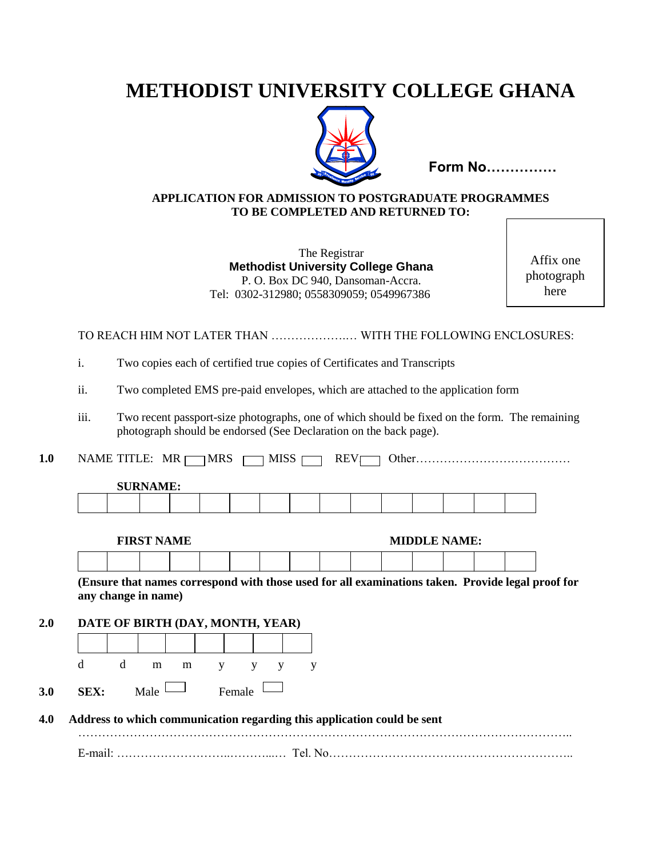# **METHODIST UNIVERSITY COLLEGE GHANA**



**Form No……………** 

#### **APPLICATION FOR ADMISSION TO POSTGRADUATE PROGRAMMES TO BE COMPLETED AND RETURNED TO:**

The Registrar **Methodist University College Ghana** P. O. Box DC 940, Dansoman-Accra. Tel: 0302-312980; 0558309059; 0549967386

Affix one photograph here

TO REACH HIM NOT LATER THAN ……………….… WITH THE FOLLOWING ENCLOSURES:

i. Two copies each of certified true copies of Certificates and Transcripts

ii. Two completed EMS pre-paid envelopes, which are attached to the application form

- iii. Two recent passport-size photographs, one of which should be fixed on the form. The remaining photograph should be endorsed (See Declaration on the back page).
- **1.0** NAME TITLE: MR MRS MISS REV. Other…………………………………

| <b>DUN!</b><br>ATTAIN |  |  |  |  |  |  |  |  |  |  |  |  |
|-----------------------|--|--|--|--|--|--|--|--|--|--|--|--|
|                       |  |  |  |  |  |  |  |  |  |  |  |  |
|                       |  |  |  |  |  |  |  |  |  |  |  |  |

**FIRST NAME MIDDLE NAME:** 

**(Ensure that names correspond with those used for all examinations taken. Provide legal proof for any change in name)**

**2.0 DATE OF BIRTH (DAY, MONTH, YEAR)**

**SURNAME:**



**4.0 Address to which communication regarding this application could be sent** 

…………………………………………………………………………………………………………….. E-mail: ………………………..………...… Tel. No……………………………………………………..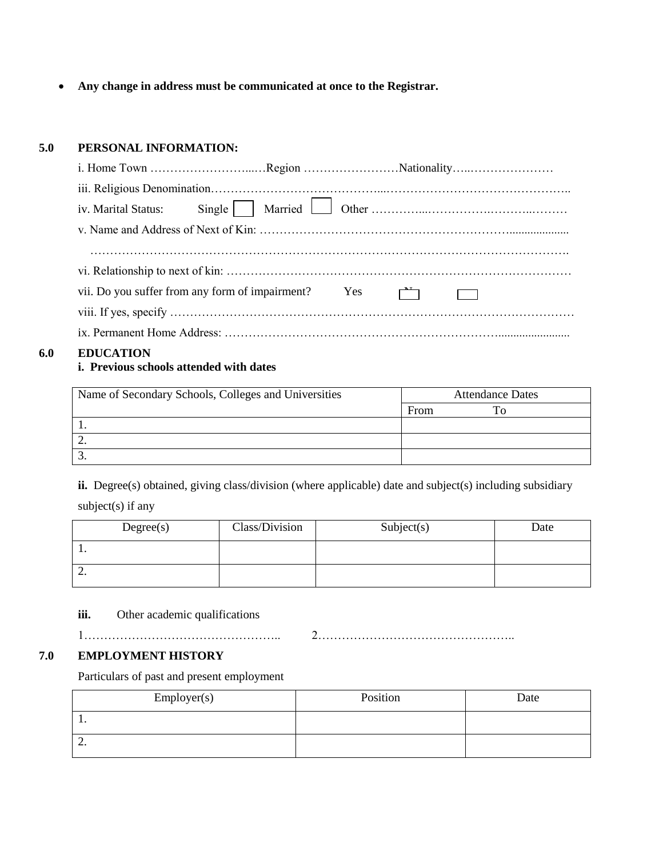**Any change in address must be communicated at once to the Registrar.**

#### **5.0 PERSONAL INFORMATION:**

| vii. Do you suffer from any form of impairment? Yes |  |  |
|-----------------------------------------------------|--|--|
|                                                     |  |  |
|                                                     |  |  |
|                                                     |  |  |

#### **6.0 EDUCATION**

### **i. Previous schools attended with dates**

| Name of Secondary Schools, Colleges and Universities | <b>Attendance Dates</b> |  |  |  |
|------------------------------------------------------|-------------------------|--|--|--|
|                                                      | From                    |  |  |  |
|                                                      |                         |  |  |  |
|                                                      |                         |  |  |  |
|                                                      |                         |  |  |  |

ii. Degree(s) obtained, giving class/division (where applicable) date and subject(s) including subsidiary

subject(s) if any

| Degree(s) | Class/Division | Subject(s) | Date |
|-----------|----------------|------------|------|
| . .       |                |            |      |
| <u>.</u>  |                |            |      |

**iii.** Other academic qualifications

1………………………………………….. 2…………………………………………..

# **7.0 EMPLOYMENT HISTORY**

Particulars of past and present employment

| Employer(s) | Position | Date |
|-------------|----------|------|
| . .         |          |      |
| <u>L.</u>   |          |      |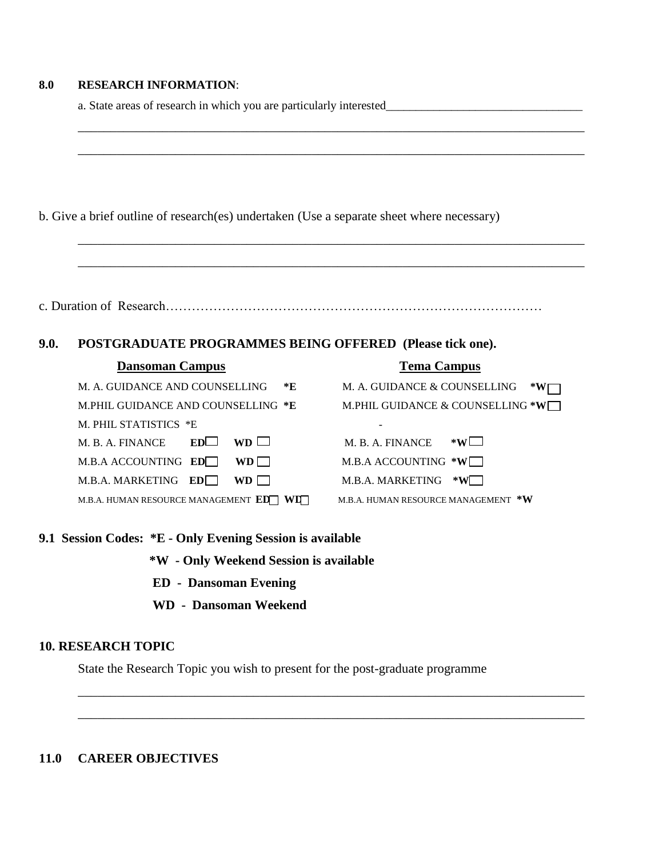#### **8.0 RESEARCH INFORMATION**:

a. State areas of research in which you are particularly interested\_\_\_\_\_\_\_\_\_\_\_\_\_\_\_\_\_\_\_\_\_\_\_\_\_\_\_\_\_\_\_\_\_

| b. Give a brief outline of research(es) undertaken (Use a separate sheet where necessary) |  |
|-------------------------------------------------------------------------------------------|--|
|-------------------------------------------------------------------------------------------|--|

|--|--|--|--|--|

\_\_\_\_\_\_\_\_\_\_\_\_\_\_\_\_\_\_\_\_\_\_\_\_\_\_\_\_\_\_\_\_\_\_\_\_\_\_\_\_\_\_\_\_\_\_\_\_\_\_\_\_\_\_\_\_\_\_\_\_\_\_\_\_\_\_\_\_\_\_\_\_\_\_\_\_\_\_

\_\_\_\_\_\_\_\_\_\_\_\_\_\_\_\_\_\_\_\_\_\_\_\_\_\_\_\_\_\_\_\_\_\_\_\_\_\_\_\_\_\_\_\_\_\_\_\_\_\_\_\_\_\_\_\_\_\_\_\_\_\_\_\_\_\_\_\_\_\_\_\_\_\_\_\_\_\_

\_\_\_\_\_\_\_\_\_\_\_\_\_\_\_\_\_\_\_\_\_\_\_\_\_\_\_\_\_\_\_\_\_\_\_\_\_\_\_\_\_\_\_\_\_\_\_\_\_\_\_\_\_\_\_\_\_\_\_\_\_\_\_\_\_\_\_\_\_\_\_\_\_\_\_\_\_\_

\_\_\_\_\_\_\_\_\_\_\_\_\_\_\_\_\_\_\_\_\_\_\_\_\_\_\_\_\_\_\_\_\_\_\_\_\_\_\_\_\_\_\_\_\_\_\_\_\_\_\_\_\_\_\_\_\_\_\_\_\_\_\_\_\_\_\_\_\_\_\_\_\_\_\_\_\_\_

### **9.0. POSTGRADUATE PROGRAMMES BEING OFFERED (Please tick one).**

| <b>Dansoman Campus</b>               | <b>Tema Campus</b>                  |
|--------------------------------------|-------------------------------------|
| *E<br>M. A. GUIDANCE AND COUNSELLING | M. A. GUIDANCE & COUNSELLING        |
| M.PHIL GUIDANCE AND COUNSELLING *E   | M.PHIL GUIDANCE & COUNSELLING *W    |
| M. PHIL STATISTICS *E                |                                     |
| $WD \Box$<br>EDL<br>M. B. A. FINANCE | $*W$ $\Box$<br>M. B. A. FINANCE     |
| M.B.A ACCOUNTING ED<br>$WD$          | M.B.A ACCOUNTING *W                 |
| M.B.A. MARKETING ED<br>$WD + 1$      | M.B.A. MARKETING<br>$*W$ .          |
| M.B.A. HUMAN RESOURCE MANAGEMENT ED  | M.B.A. HUMAN RESOURCE MANAGEMENT *W |

# **9.1 Session Codes: \*E - Only Evening Session is available**

 **\*W - Only Weekend Session is available**

- **ED Dansoman Evening**
- **WD Dansoman Weekend**

## **10. RESEARCH TOPIC**

State the Research Topic you wish to present for the post-graduate programme

\_\_\_\_\_\_\_\_\_\_\_\_\_\_\_\_\_\_\_\_\_\_\_\_\_\_\_\_\_\_\_\_\_\_\_\_\_\_\_\_\_\_\_\_\_\_\_\_\_\_\_\_\_\_\_\_\_\_\_\_\_\_\_\_\_\_\_\_\_\_\_\_\_\_\_\_\_\_

\_\_\_\_\_\_\_\_\_\_\_\_\_\_\_\_\_\_\_\_\_\_\_\_\_\_\_\_\_\_\_\_\_\_\_\_\_\_\_\_\_\_\_\_\_\_\_\_\_\_\_\_\_\_\_\_\_\_\_\_\_\_\_\_\_\_\_\_\_\_\_\_\_\_\_\_\_\_

# **11.0 CAREER OBJECTIVES**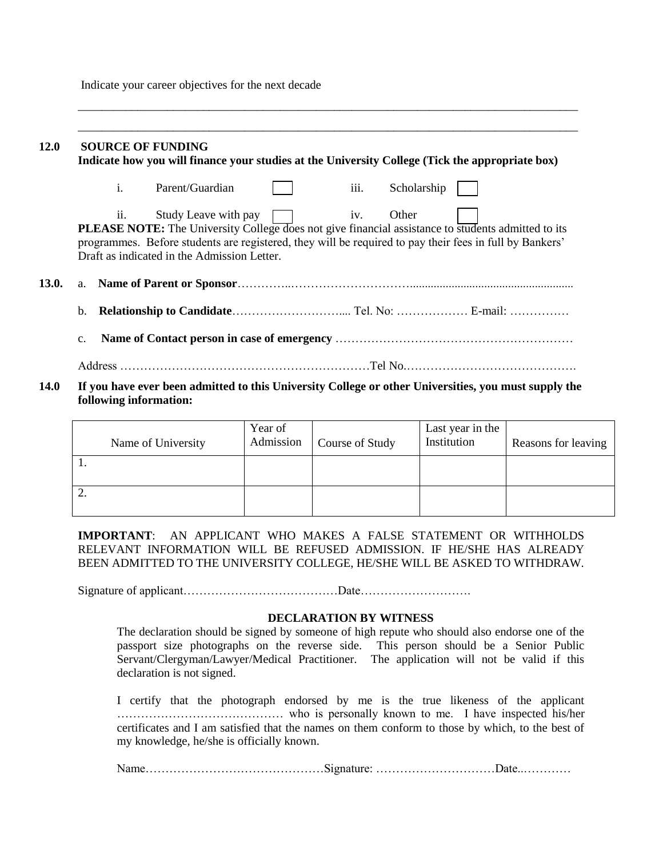Indicate your career objectives for the next decade

| <b>12.0</b>  |                                                                                                 |     | <b>SOURCE OF FUNDING</b>                                                                                  |  |      |             |  |  |  |  |
|--------------|-------------------------------------------------------------------------------------------------|-----|-----------------------------------------------------------------------------------------------------------|--|------|-------------|--|--|--|--|
|              | Indicate how you will finance your studies at the University College (Tick the appropriate box) |     |                                                                                                           |  |      |             |  |  |  |  |
|              |                                                                                                 | i.  | Parent/Guardian                                                                                           |  | iii. | Scholarship |  |  |  |  |
|              |                                                                                                 | ii. | Study Leave with pay $\boxed{\phantom{a}}$ iv.                                                            |  |      | Other       |  |  |  |  |
|              |                                                                                                 |     | <b>PLEASE NOTE:</b> The University College does not give financial assistance to students admitted to its |  |      |             |  |  |  |  |
|              |                                                                                                 |     | programmes. Before students are registered, they will be required to pay their fees in full by Bankers'   |  |      |             |  |  |  |  |
|              |                                                                                                 |     | Draft as indicated in the Admission Letter.                                                               |  |      |             |  |  |  |  |
|              |                                                                                                 |     |                                                                                                           |  |      |             |  |  |  |  |
| <b>13.0.</b> |                                                                                                 |     |                                                                                                           |  |      |             |  |  |  |  |
|              |                                                                                                 |     |                                                                                                           |  |      |             |  |  |  |  |
|              | b.                                                                                              |     |                                                                                                           |  |      |             |  |  |  |  |
|              |                                                                                                 |     |                                                                                                           |  |      |             |  |  |  |  |
|              | $C_{\bullet}$                                                                                   |     |                                                                                                           |  |      |             |  |  |  |  |
|              |                                                                                                 |     |                                                                                                           |  |      |             |  |  |  |  |
| 14 A         |                                                                                                 |     |                                                                                                           |  |      |             |  |  |  |  |

\_\_\_\_\_\_\_\_\_\_\_\_\_\_\_\_\_\_\_\_\_\_\_\_\_\_\_\_\_\_\_\_\_\_\_\_\_\_\_\_\_\_\_\_\_\_\_\_\_\_\_\_\_\_\_\_\_\_\_\_\_\_\_\_\_\_\_\_\_\_\_\_\_\_\_\_\_\_\_\_\_\_\_\_

**14.0 If you have ever been admitted to this University College or other Universities, you must supply the following information:**

|     | Name of University | Year of<br>Admission | Course of Study | Last year in the<br>Institution | Reasons for leaving |
|-----|--------------------|----------------------|-----------------|---------------------------------|---------------------|
| . . |                    |                      |                 |                                 |                     |
| ٠.  |                    |                      |                 |                                 |                     |

**IMPORTANT**: AN APPLICANT WHO MAKES A FALSE STATEMENT OR WITHHOLDS RELEVANT INFORMATION WILL BE REFUSED ADMISSION. IF HE/SHE HAS ALREADY BEEN ADMITTED TO THE UNIVERSITY COLLEGE, HE/SHE WILL BE ASKED TO WITHDRAW.

Signature of applicant…………………………………Date……………………….

#### **DECLARATION BY WITNESS**

The declaration should be signed by someone of high repute who should also endorse one of the passport size photographs on the reverse side. This person should be a Senior Public Servant/Clergyman/Lawyer/Medical Practitioner. The application will not be valid if this declaration is not signed.

I certify that the photograph endorsed by me is the true likeness of the applicant …………………………………… who is personally known to me. I have inspected his/her certificates and I am satisfied that the names on them conform to those by which, to the best of my knowledge, he/she is officially known.

Name………………………………………Signature: …………………………Date..…………